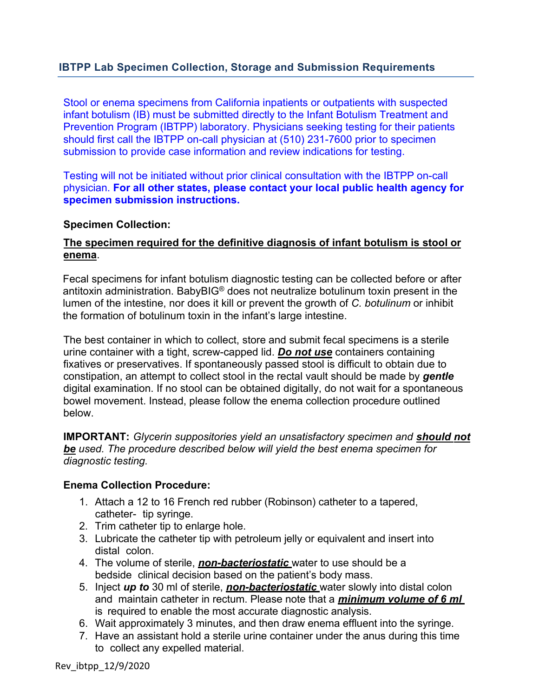# **IBTPP Lab Specimen Collection, Storage and Submission Requirements**

Stool or enema specimens from California inpatients or outpatients with suspected infant botulism (IB) must be submitted directly to the Infant Botulism Treatment and Prevention Program (IBTPP) laboratory. Physicians seeking testing for their patients should first call the IBTPP on-call physician at (510) 231-7600 prior to specimen submission to provide case information and review indications for testing.

Testing will not be initiated without prior clinical consultation with the IBTPP on-call physician. **For all other states, please contact your local public health agency for specimen submission instructions.**

#### **Specimen Collection:**

#### **The specimen required for the definitive diagnosis of infant botulism is stool or enema**.

Fecal specimens for infant botulism diagnostic testing can be collected before or after antitoxin administration. BabyBIG® does not neutralize botulinum toxin present in the lumen of the intestine, nor does it kill or prevent the growth of *C. botulinum* or inhibit the formation of botulinum toxin in the infant's large intestine.

The best container in which to collect, store and submit fecal specimens is a sterile urine container with a tight, screw-capped lid. *Do not use* containers containing fixatives or preservatives. If spontaneously passed stool is difficult to obtain due to constipation, an attempt to collect stool in the rectal vault should be made by *gentle*  digital examination. If no stool can be obtained digitally, do not wait for a spontaneous bowel movement. Instead, please follow the enema collection procedure outlined below.

**IMPORTANT:** *Glycerin suppositories yield an unsatisfactory specimen and should not be used. The procedure described below will yield the best enema specimen for diagnostic testing.* 

#### **Enema Collection Procedure:**

- 1. Attach a 12 to 16 French red rubber (Robinson) catheter to a tapered, catheter- tip syringe.
- 2. Trim catheter tip to enlarge hole.
- 3. Lubricate the catheter tip with petroleum jelly or equivalent and insert into distal colon.
- 4. The volume of sterile, *non-bacteriostatic* water to use should be a bedside clinical decision based on the patient's body mass.
- 5. Inject *up to* 30 ml of sterile, *non-bacteriostatic* water slowly into distal colon and maintain catheter in rectum. Please note that a *minimum volume of 6 ml* is required to enable the most accurate diagnostic analysis.
- 6. Wait approximately 3 minutes, and then draw enema effluent into the syringe.
- 7. Have an assistant hold a sterile urine container under the anus during this time to collect any expelled material.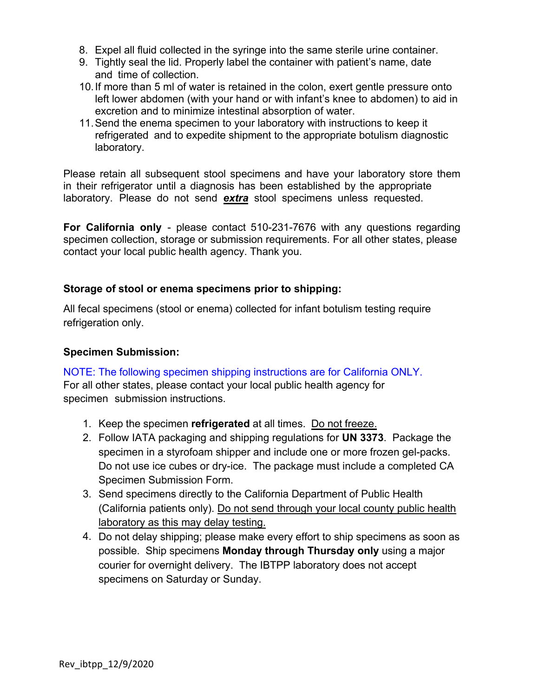- 8. Expel all fluid collected in the syringe into the same sterile urine container.
- 9. Tightly seal the lid. Properly label the container with patient's name, date and time of collection.
- 10.If more than 5 ml of water is retained in the colon, exert gentle pressure onto left lower abdomen (with your hand or with infant's knee to abdomen) to aid in excretion and to minimize intestinal absorption of water.
- 11.Send the enema specimen to your laboratory with instructions to keep it refrigerated and to expedite shipment to the appropriate botulism diagnostic laboratory.

Please retain all subsequent stool specimens and have your laboratory store them in their refrigerator until a diagnosis has been established by the appropriate laboratory. Please do not send *extra* stool specimens unless requested.

**For California only** - please contact 510-231-7676 with any questions regarding specimen collection, storage or submission requirements. For all other states, please contact your local public health agency. Thank you.

## **Storage of stool or enema specimens prior to shipping:**

All fecal specimens (stool or enema) collected for infant botulism testing require refrigeration only.

### **Specimen Submission:**

NOTE: The following specimen shipping instructions are for California ONLY. For all other states, please contact your local public health agency for specimen submission instructions.

- 1. Keep the specimen **refrigerated** at all times. Do not freeze.
- 2. Follow IATA packaging and shipping regulations for **UN 3373**. Package the specimen in a styrofoam shipper and include one or more frozen gel-packs. Do not use ice cubes or dry-ice. The package must include a completed CA Specimen Submission Form.
- 3. Send specimens directly to the California Department of Public Health (California patients only). Do not send through your local county public health laboratory as this may delay testing.
- 4. Do not delay shipping; please make every effort to ship specimens as soon as possible. Ship specimens **Monday through Thursday only** using a major courier for overnight delivery. The IBTPP laboratory does not accept specimens on Saturday or Sunday.